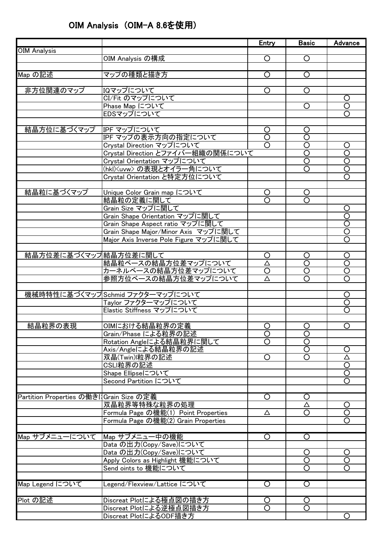## OIM Analysis (OIM-A 8.6を使用)

|                                         |                                        | <b>Entry</b>            | <b>Basic</b>            | Advance                 |
|-----------------------------------------|----------------------------------------|-------------------------|-------------------------|-------------------------|
| <b>OIM Analysis</b>                     |                                        |                         |                         |                         |
|                                         | OIM Analysis の構成                       | O                       | $\circ$                 |                         |
|                                         |                                        |                         |                         |                         |
| Map の記述                                 | マップの種類と描き方                             | $\overline{\rm O}$      | $\overline{\circ}$      |                         |
|                                         |                                        |                         |                         |                         |
| 非方位関連のマップ                               | IQマップについて                              | O                       | O                       |                         |
|                                         | CI/Fit のマップについて                        |                         |                         | $\circ$                 |
|                                         | Phase Map について                         |                         | $\circ$                 | $\circ$                 |
|                                         | EDSマップについて                             |                         |                         | $\circ$                 |
|                                         |                                        |                         |                         |                         |
| 結晶方位に基づくマップ                             | IPF マップについて                            | O                       | O                       |                         |
|                                         | IPF マップの表示方向の指定について                    | $\overline{\text{O}}$   | $\overline{\circ}$      |                         |
|                                         | Crystal Direction マップについて              | $\overline{\bigcirc}$   | $\overline{\circ}$      | $\circ$                 |
|                                         | Crystal Direction とファイバー組織の関係について      |                         | $\overline{\mathsf{O}}$ | $\overline{\circ}$      |
|                                         | Crystal Orientation マップについて            |                         | $\overline{\text{O}}$   | $\overline{O}$          |
|                                         | (hkl) <uvw>の表現とオイラー角について</uvw>         |                         | $\overline{\text{O}}$   | $\overline{O}$          |
|                                         | Crystal Orientation と特定方位について          |                         |                         | $\overline{\text{O}}$   |
|                                         |                                        |                         |                         |                         |
| 結晶粒に基づくマップ                              | Unique Color Grain map について            | Ő                       | <u>O</u>                |                         |
|                                         | 結晶粒の定義に関して                             | $\overline{\Omega}$     | $\overline{\text{O}}$   |                         |
|                                         | Grain Size マップに関して                     |                         |                         | $\circ$                 |
|                                         | Grain Shape Orientation マップに関して        |                         |                         | $\overline{\text{O}}$   |
|                                         | Grain Shape Aspect ratio マップに関して       |                         |                         | ਠ                       |
|                                         |                                        |                         |                         | $\overline{\mathsf{O}}$ |
|                                         | Grain Shape Major/Minor Axis マップに関して   |                         |                         | $\overline{\circ}$      |
|                                         | Major Axis Inverse Pole Figure マップに関して |                         |                         |                         |
|                                         |                                        |                         |                         |                         |
| 結晶方位差に基づくマップ結晶方位差に関して                   |                                        | O                       | O                       | $\circ$                 |
|                                         | 結晶粒ベースの結晶方位差マップについて                    | Δ                       | $\overline{\text{O}}$   | $\overline{\circ}$      |
|                                         | カーネルベースの結晶方位差マップについて                   | $\circ$                 | $\circ$                 | $\overline{O}$          |
|                                         | 参照方位ベースの結晶方位差マップについて                   | Δ                       | $\circ$                 | $\overline{\circ}$      |
|                                         |                                        |                         |                         |                         |
|                                         | 機械時特性に基づくマップSchmid ファクターマップについて        |                         |                         | $\circ$                 |
|                                         | Taylor ファクターマップについて                    |                         |                         | $\circ$                 |
|                                         | Elastic Stiffness マップについて              |                         |                         | $\circ$                 |
|                                         |                                        |                         |                         |                         |
| 結晶粒界の表現                                 | OIMにおける結晶粒界の定義                         | $\circ$                 | $\overline{O}$          | $\circ$                 |
|                                         | Grain/Phase による粒界の記述                   | $\overline{\mathsf{O}}$ | ਠ                       |                         |
|                                         | Rotation Angleによる結晶粒界に関して              | $\Omega$                | $\overline{\bigcirc}$   |                         |
|                                         | Axis/Angleによる結晶粒界の記述                   |                         | $\overline{\bigcirc}$   | $\circ$                 |
|                                         | 双晶(Twin) 粒界の記述                         | O                       | $\overline{O}$          | Δ                       |
|                                         | CSLI粒界の記述                              |                         |                         | $\circ$                 |
|                                         | Shape Ellipseについて                      |                         |                         | $\overline{\circ}$      |
|                                         | Second Partition について                  |                         |                         | $\overline{\text{O}}$   |
|                                         |                                        |                         |                         |                         |
| Partition Properties の働きはGrain Size の定義 |                                        | O                       | O                       |                         |
|                                         | 双晶粒界等特殊な粒界の処理                          |                         | Δ                       | $\circ$                 |
|                                         | Formula Page の機能(1) Point Properties   | Δ                       | $\overline{\mathsf{O}}$ | $\overline{\mathsf{O}}$ |
|                                         | Formula Page の機能(2) Grain Properties   |                         |                         | $\overline{O}$          |
|                                         |                                        |                         |                         |                         |
| Map サブメニューについて                          | Map サブメニュー中の機能                         | $\circ$                 | $\overline{\text{O}}$   |                         |
|                                         |                                        |                         |                         |                         |
|                                         | Data の出力(Copy/Save)について                |                         |                         |                         |
|                                         | Data の出力(Copy/Save)について                |                         | O                       | $\circ$                 |
|                                         | Apply Colors as Highlight 機能について       |                         | $\overline{\bigcirc}$   | $\overline{\bigcirc}$   |
|                                         | Send oints to 機能について                   |                         | $\circ$                 | $\circ$                 |
|                                         |                                        |                         |                         |                         |
| Map Legend について                         | Legend/Flexview/Lattice について           | $\overline{\text{O}}$   | $\overline{\mathsf{O}}$ |                         |
|                                         |                                        |                         |                         |                         |
| Plot の記述                                | Discreat Plotによる極点図の描き方                | O                       | O                       |                         |
|                                         | Discreat Plotによる逆極点図描き方                | O                       | $\circ$                 |                         |
|                                         | Discreat PlotによるODF描き方                 |                         |                         | $\circ$                 |